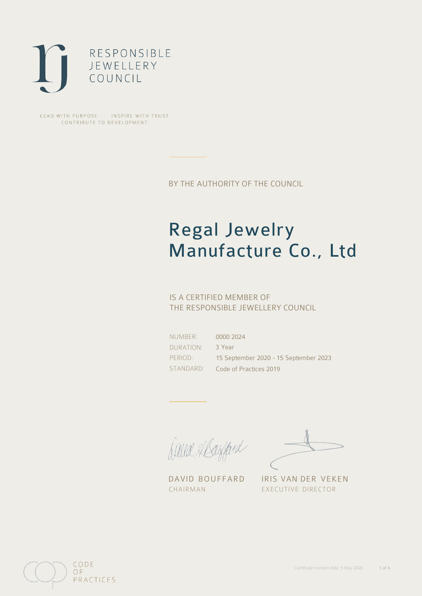

LEAD WITH PURPOSE . INSPIRE WITH TRUST CONTRIBUTE TO DEVELOPMENT

BY THE AUTHORITY OF THE COUNCIL

## Regal Jewelry Manufacture Co., Ltd

### IS A CERTIFIED MEMBER OF THE RESPONSIBLE JEWELLERY COUNCIL

NUMBER: DURATION: PERIOD: STANDARD:

0000 2024 3 Year 15 September 2020 - 15 September 2023 Code of Practices 2019

Balla Shayfard

DAVID BOUFFARD IRIS VAN DER VEKEN CHAIRMAN EXECUTIVE DIRECTOR

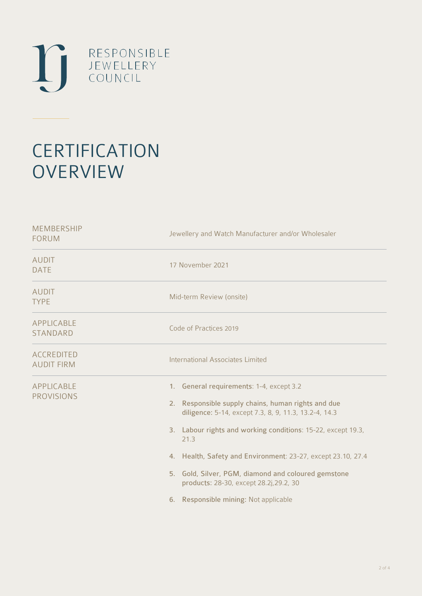

# **CERTIFICATION OVERVIEW**

| <b>MEMBERSHIP</b><br><b>FORUM</b>      | Jewellery and Watch Manufacturer and/or Wholesaler                                                                                                                                                                                                                                                                                                                                                                                         |
|----------------------------------------|--------------------------------------------------------------------------------------------------------------------------------------------------------------------------------------------------------------------------------------------------------------------------------------------------------------------------------------------------------------------------------------------------------------------------------------------|
| <b>AUDIT</b><br><b>DATE</b>            | 17 November 2021                                                                                                                                                                                                                                                                                                                                                                                                                           |
| <b>AUDIT</b><br><b>TYPE</b>            | Mid-term Review (onsite)                                                                                                                                                                                                                                                                                                                                                                                                                   |
| <b>APPLICABLE</b><br><b>STANDARD</b>   | Code of Practices 2019                                                                                                                                                                                                                                                                                                                                                                                                                     |
| <b>ACCREDITED</b><br><b>AUDIT FIRM</b> | <b>International Associates Limited</b>                                                                                                                                                                                                                                                                                                                                                                                                    |
| APPLICABLE<br><b>PROVISIONS</b>        | 1. General requirements: 1-4, except 3.2<br>2. Responsible supply chains, human rights and due<br>diligence: 5-14, except 7.3, 8, 9, 11.3, 13.2-4, 14.3<br>3. Labour rights and working conditions: 15-22, except 19.3,<br>21.3<br>4. Health, Safety and Environment: 23-27, except 23.10, 27.4<br>5. Gold, Silver, PGM, diamond and coloured gemstone<br>products: 28-30, except 28.2j, 29.2, 30<br>6. Responsible mining: Not applicable |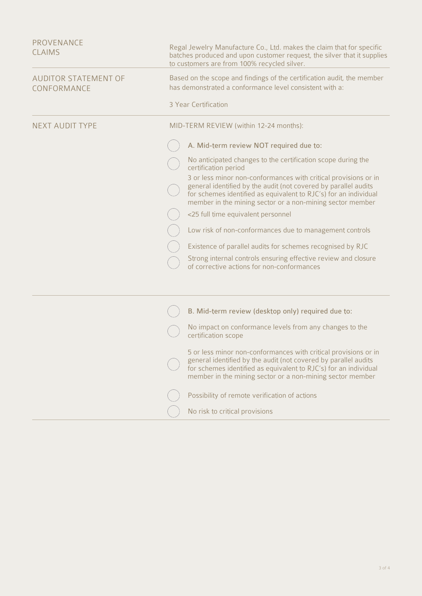| Based on the scope and findings of the certification audit, the member<br>has demonstrated a conformance level consistent with a:<br>3 Year Certification<br>MID-TERM REVIEW (within 12-24 months):<br>A. Mid-term review NOT required due to:<br>No anticipated changes to the certification scope during the<br>certification period<br>3 or less minor non-conformances with critical provisions or in<br>general identified by the audit (not covered by parallel audits<br>for schemes identified as equivalent to RJC's) for an individual<br>member in the mining sector or a non-mining sector member<br><25 full time equivalent personnel<br>Low risk of non-conformances due to management controls<br>Existence of parallel audits for schemes recognised by RJC<br>Strong internal controls ensuring effective review and closure<br>of corrective actions for non-conformances<br>B. Mid-term review (desktop only) required due to:<br>No impact on conformance levels from any changes to the<br>certification scope<br>5 or less minor non-conformances with critical provisions or in<br>general identified by the audit (not covered by parallel audits<br>for schemes identified as equivalent to RJC's) for an individual<br>member in the mining sector or a non-mining sector member<br>Possibility of remote verification of actions<br>No risk to critical provisions | PROVENANCE<br><b>CLAIMS</b>                | Regal Jewelry Manufacture Co., Ltd. makes the claim that for specific<br>batches produced and upon customer request, the silver that it supplies<br>to customers are from 100% recycled silver. |
|------------------------------------------------------------------------------------------------------------------------------------------------------------------------------------------------------------------------------------------------------------------------------------------------------------------------------------------------------------------------------------------------------------------------------------------------------------------------------------------------------------------------------------------------------------------------------------------------------------------------------------------------------------------------------------------------------------------------------------------------------------------------------------------------------------------------------------------------------------------------------------------------------------------------------------------------------------------------------------------------------------------------------------------------------------------------------------------------------------------------------------------------------------------------------------------------------------------------------------------------------------------------------------------------------------------------------------------------------------------------------------------------|--------------------------------------------|-------------------------------------------------------------------------------------------------------------------------------------------------------------------------------------------------|
|                                                                                                                                                                                                                                                                                                                                                                                                                                                                                                                                                                                                                                                                                                                                                                                                                                                                                                                                                                                                                                                                                                                                                                                                                                                                                                                                                                                                | <b>AUDITOR STATEMENT OF</b><br>CONFORMANCE |                                                                                                                                                                                                 |
|                                                                                                                                                                                                                                                                                                                                                                                                                                                                                                                                                                                                                                                                                                                                                                                                                                                                                                                                                                                                                                                                                                                                                                                                                                                                                                                                                                                                |                                            |                                                                                                                                                                                                 |
|                                                                                                                                                                                                                                                                                                                                                                                                                                                                                                                                                                                                                                                                                                                                                                                                                                                                                                                                                                                                                                                                                                                                                                                                                                                                                                                                                                                                | <b>NEXT AUDIT TYPE</b>                     |                                                                                                                                                                                                 |
|                                                                                                                                                                                                                                                                                                                                                                                                                                                                                                                                                                                                                                                                                                                                                                                                                                                                                                                                                                                                                                                                                                                                                                                                                                                                                                                                                                                                |                                            |                                                                                                                                                                                                 |
|                                                                                                                                                                                                                                                                                                                                                                                                                                                                                                                                                                                                                                                                                                                                                                                                                                                                                                                                                                                                                                                                                                                                                                                                                                                                                                                                                                                                |                                            |                                                                                                                                                                                                 |
|                                                                                                                                                                                                                                                                                                                                                                                                                                                                                                                                                                                                                                                                                                                                                                                                                                                                                                                                                                                                                                                                                                                                                                                                                                                                                                                                                                                                |                                            |                                                                                                                                                                                                 |
|                                                                                                                                                                                                                                                                                                                                                                                                                                                                                                                                                                                                                                                                                                                                                                                                                                                                                                                                                                                                                                                                                                                                                                                                                                                                                                                                                                                                |                                            |                                                                                                                                                                                                 |
|                                                                                                                                                                                                                                                                                                                                                                                                                                                                                                                                                                                                                                                                                                                                                                                                                                                                                                                                                                                                                                                                                                                                                                                                                                                                                                                                                                                                |                                            |                                                                                                                                                                                                 |
|                                                                                                                                                                                                                                                                                                                                                                                                                                                                                                                                                                                                                                                                                                                                                                                                                                                                                                                                                                                                                                                                                                                                                                                                                                                                                                                                                                                                |                                            |                                                                                                                                                                                                 |
|                                                                                                                                                                                                                                                                                                                                                                                                                                                                                                                                                                                                                                                                                                                                                                                                                                                                                                                                                                                                                                                                                                                                                                                                                                                                                                                                                                                                |                                            |                                                                                                                                                                                                 |
|                                                                                                                                                                                                                                                                                                                                                                                                                                                                                                                                                                                                                                                                                                                                                                                                                                                                                                                                                                                                                                                                                                                                                                                                                                                                                                                                                                                                |                                            |                                                                                                                                                                                                 |
|                                                                                                                                                                                                                                                                                                                                                                                                                                                                                                                                                                                                                                                                                                                                                                                                                                                                                                                                                                                                                                                                                                                                                                                                                                                                                                                                                                                                |                                            |                                                                                                                                                                                                 |
|                                                                                                                                                                                                                                                                                                                                                                                                                                                                                                                                                                                                                                                                                                                                                                                                                                                                                                                                                                                                                                                                                                                                                                                                                                                                                                                                                                                                |                                            |                                                                                                                                                                                                 |
|                                                                                                                                                                                                                                                                                                                                                                                                                                                                                                                                                                                                                                                                                                                                                                                                                                                                                                                                                                                                                                                                                                                                                                                                                                                                                                                                                                                                |                                            |                                                                                                                                                                                                 |
|                                                                                                                                                                                                                                                                                                                                                                                                                                                                                                                                                                                                                                                                                                                                                                                                                                                                                                                                                                                                                                                                                                                                                                                                                                                                                                                                                                                                |                                            |                                                                                                                                                                                                 |
|                                                                                                                                                                                                                                                                                                                                                                                                                                                                                                                                                                                                                                                                                                                                                                                                                                                                                                                                                                                                                                                                                                                                                                                                                                                                                                                                                                                                |                                            |                                                                                                                                                                                                 |